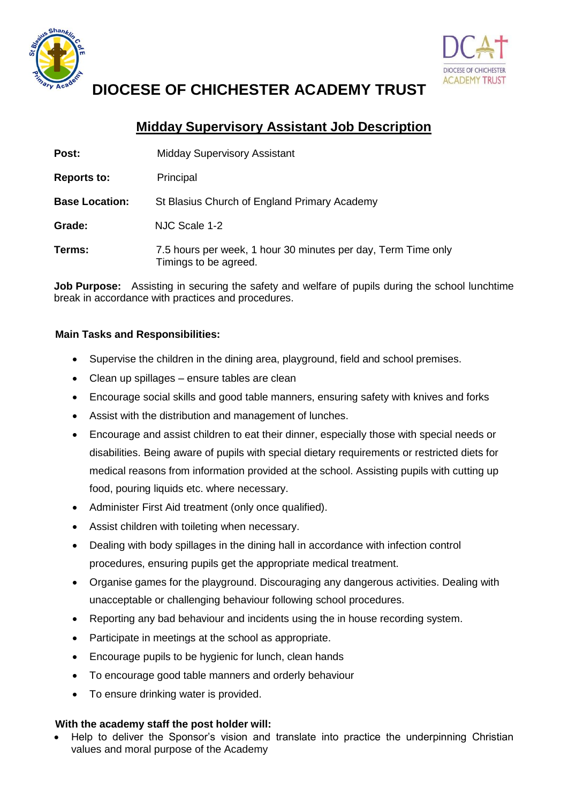



# **DIOCESE OF CHICHESTER ACADEMY TRUST**

## **Midday Supervisory Assistant Job Description**

| Post:                 | <b>Midday Supervisory Assistant</b>                                                    |
|-----------------------|----------------------------------------------------------------------------------------|
| <b>Reports to:</b>    | Principal                                                                              |
| <b>Base Location:</b> | St Blasius Church of England Primary Academy                                           |
| Grade:                | NJC Scale 1-2                                                                          |
| Terms:                | 7.5 hours per week, 1 hour 30 minutes per day, Term Time only<br>Timings to be agreed. |

**Job Purpose:** Assisting in securing the safety and welfare of pupils during the school lunchtime break in accordance with practices and procedures.

### **Main Tasks and Responsibilities:**

- Supervise the children in the dining area, playground, field and school premises.
- Clean up spillages ensure tables are clean
- Encourage social skills and good table manners, ensuring safety with knives and forks
- Assist with the distribution and management of lunches.
- Encourage and assist children to eat their dinner, especially those with special needs or disabilities. Being aware of pupils with special dietary requirements or restricted diets for medical reasons from information provided at the school. Assisting pupils with cutting up food, pouring liquids etc. where necessary.
- Administer First Aid treatment (only once qualified).
- Assist children with toileting when necessary.
- Dealing with body spillages in the dining hall in accordance with infection control procedures, ensuring pupils get the appropriate medical treatment.
- Organise games for the playground. Discouraging any dangerous activities. Dealing with unacceptable or challenging behaviour following school procedures.
- Reporting any bad behaviour and incidents using the in house recording system.
- Participate in meetings at the school as appropriate.
- Encourage pupils to be hygienic for lunch, clean hands
- To encourage good table manners and orderly behaviour
- To ensure drinking water is provided.

#### **With the academy staff the post holder will:**

 Help to deliver the Sponsor's vision and translate into practice the underpinning Christian values and moral purpose of the Academy